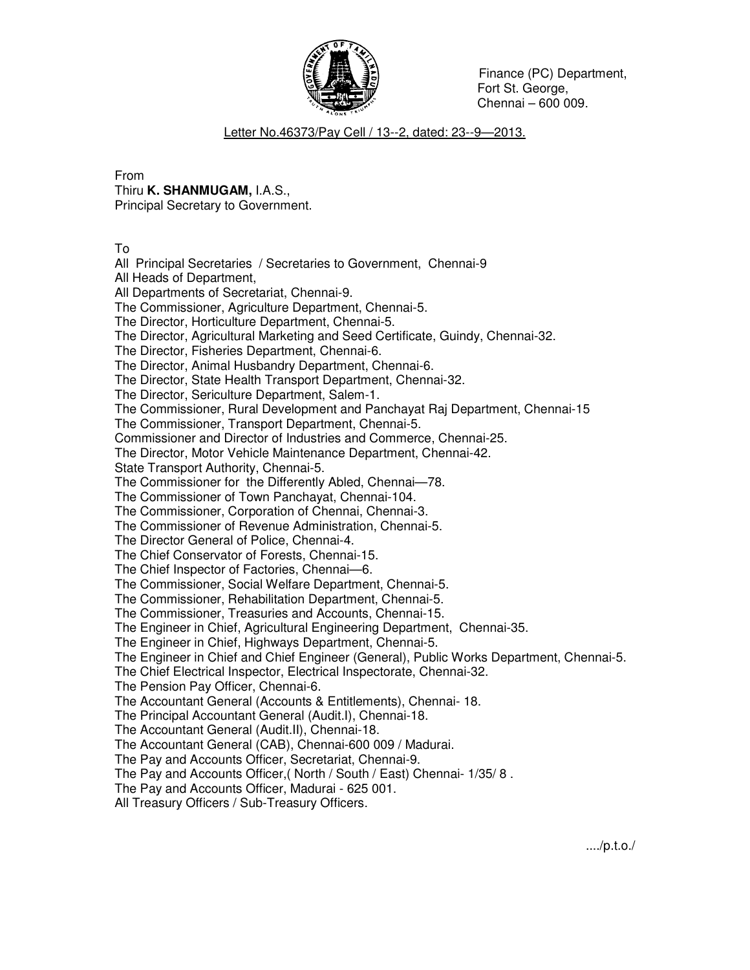

## Letter No.46373/Pay Cell / 13--2, dated: 23--9—2013.

From Thiru **K. SHANMUGAM,** I.A.S.,

Principal Secretary to Government.

To

All Principal Secretaries / Secretaries to Government, Chennai-9 All Heads of Department, All Departments of Secretariat, Chennai-9. The Commissioner, Agriculture Department, Chennai-5. The Director, Horticulture Department, Chennai-5. The Director, Agricultural Marketing and Seed Certificate, Guindy, Chennai-32. The Director, Fisheries Department, Chennai-6. The Director, Animal Husbandry Department, Chennai-6. The Director, State Health Transport Department, Chennai-32. The Director, Sericulture Department, Salem-1. The Commissioner, Rural Development and Panchayat Raj Department, Chennai-15 The Commissioner, Transport Department, Chennai-5. Commissioner and Director of Industries and Commerce, Chennai-25. The Director, Motor Vehicle Maintenance Department, Chennai-42. State Transport Authority, Chennai-5. The Commissioner for the Differently Abled, Chennai—78. The Commissioner of Town Panchayat, Chennai-104. The Commissioner, Corporation of Chennai, Chennai-3. The Commissioner of Revenue Administration, Chennai-5. The Director General of Police, Chennai-4. The Chief Conservator of Forests, Chennai-15. The Chief Inspector of Factories, Chennai—6. The Commissioner, Social Welfare Department, Chennai-5. The Commissioner, Rehabilitation Department, Chennai-5. The Commissioner, Treasuries and Accounts, Chennai-15. The Engineer in Chief, Agricultural Engineering Department, Chennai-35. The Engineer in Chief, Highways Department, Chennai-5. The Engineer in Chief and Chief Engineer (General), Public Works Department, Chennai-5. The Chief Electrical Inspector, Electrical Inspectorate, Chennai-32. The Pension Pay Officer, Chennai-6. The Accountant General (Accounts & Entitlements), Chennai- 18. The Principal Accountant General (Audit.I), Chennai-18. The Accountant General (Audit.II), Chennai-18. The Accountant General (CAB), Chennai-600 009 / Madurai. The Pay and Accounts Officer, Secretariat, Chennai-9. The Pay and Accounts Officer,( North / South / East) Chennai- 1/35/ 8 . The Pay and Accounts Officer, Madurai - 625 001. All Treasury Officers / Sub-Treasury Officers.

..../p.t.o./